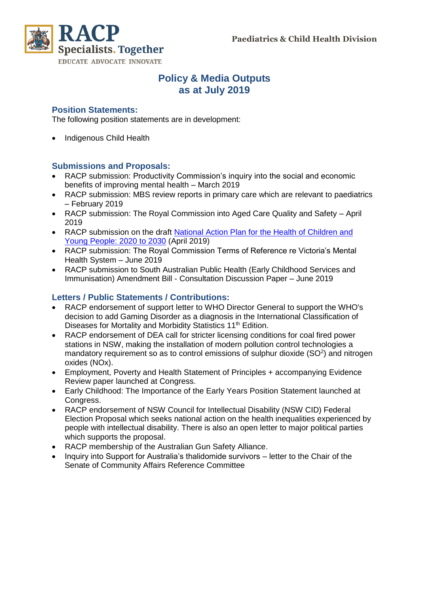

### **Policy & Media Outputs as at July 2019**

#### **Position Statements:**

The following position statements are in development:

• Indigenous Child Health

#### **Submissions and Proposals:**

- RACP submission: Productivity Commission's inquiry into the social and economic benefits of improving mental health – March 2019
- RACP submission: MBS review reports in primary care which are relevant to paediatrics – February 2019
- RACP submission: The Royal Commission into Aged Care Quality and Safety April 2019
- RACP submission on the draft [National Action Plan for the Health of Children and](https://www.racp.edu.au/docs/default-source/advocacy-library/d-20190329---racp-submission-to-draft-chap-final.pdf?sfvrsn=3b3191a_4)  [Young People: 2020 to 2030](https://www.racp.edu.au/docs/default-source/advocacy-library/d-20190329---racp-submission-to-draft-chap-final.pdf?sfvrsn=3b3191a_4) (April 2019)
- RACP submission: The Royal Commission Terms of Reference re Victoria's Mental Health System – June 2019
- RACP submission to South Australian Public Health (Early Childhood Services and Immunisation) Amendment Bill - Consultation Discussion Paper – June 2019

#### **Letters / Public Statements / Contributions:**

- RACP endorsement of support letter to WHO Director General to support the WHO's decision to add Gaming Disorder as a diagnosis in the International Classification of Diseases for Mortality and Morbidity Statistics 11<sup>th</sup> Edition.
- RACP endorsement of DEA call for stricter licensing conditions for coal fired power stations in NSW, making the installation of modern pollution control technologies a mandatory requirement so as to control emissions of sulphur dioxide (SO<sup>2</sup>) and nitrogen oxides (NOx).
- Employment, Poverty and Health Statement of Principles + accompanying Evidence Review paper launched at Congress.
- Early Childhood: The Importance of the Early Years Position Statement launched at Congress.
- RACP endorsement of NSW Council for Intellectual Disability (NSW CID) Federal Election Proposal which seeks national action on the health inequalities experienced by people with intellectual disability. There is also an open letter to major political parties which supports the proposal.
- RACP membership of the Australian Gun Safety Alliance.
- Inquiry into Support for Australia's thalidomide survivors letter to the Chair of the Senate of Community Affairs Reference Committee